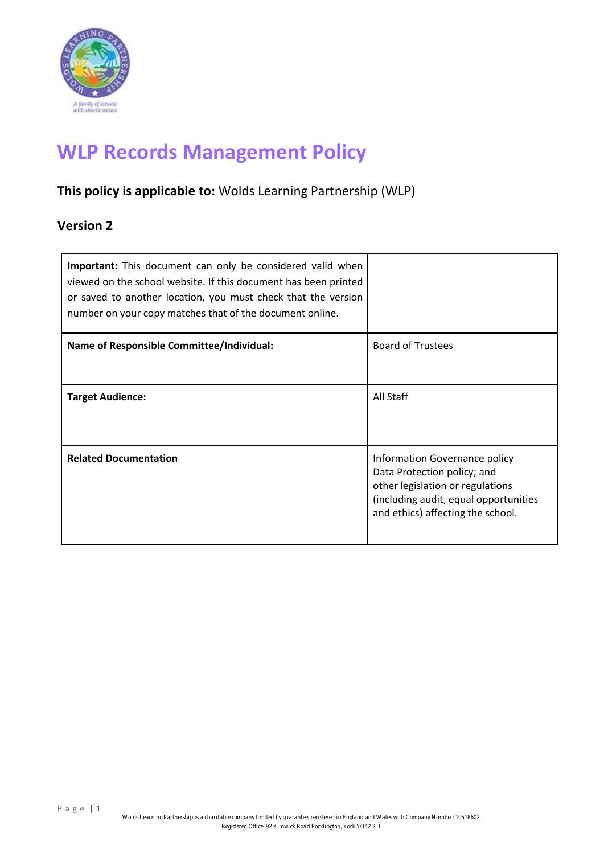

# **WLP Records Management Policy**

## **This policy is applicable to:** Wolds Learning Partnership (WLP)

### **Version 2**

| Important: This document can only be considered valid when<br>viewed on the school website. If this document has been printed<br>or saved to another location, you must check that the version<br>number on your copy matches that of the document online. |                                                                                                                                                                                |
|------------------------------------------------------------------------------------------------------------------------------------------------------------------------------------------------------------------------------------------------------------|--------------------------------------------------------------------------------------------------------------------------------------------------------------------------------|
| <b>Name of Responsible Committee/Individual:</b>                                                                                                                                                                                                           | <b>Board of Trustees</b>                                                                                                                                                       |
| <b>Target Audience:</b>                                                                                                                                                                                                                                    | All Staff                                                                                                                                                                      |
| <b>Related Documentation</b>                                                                                                                                                                                                                               | Information Governance policy<br>Data Protection policy; and<br>other legislation or regulations<br>(including audit, equal opportunities<br>and ethics) affecting the school. |